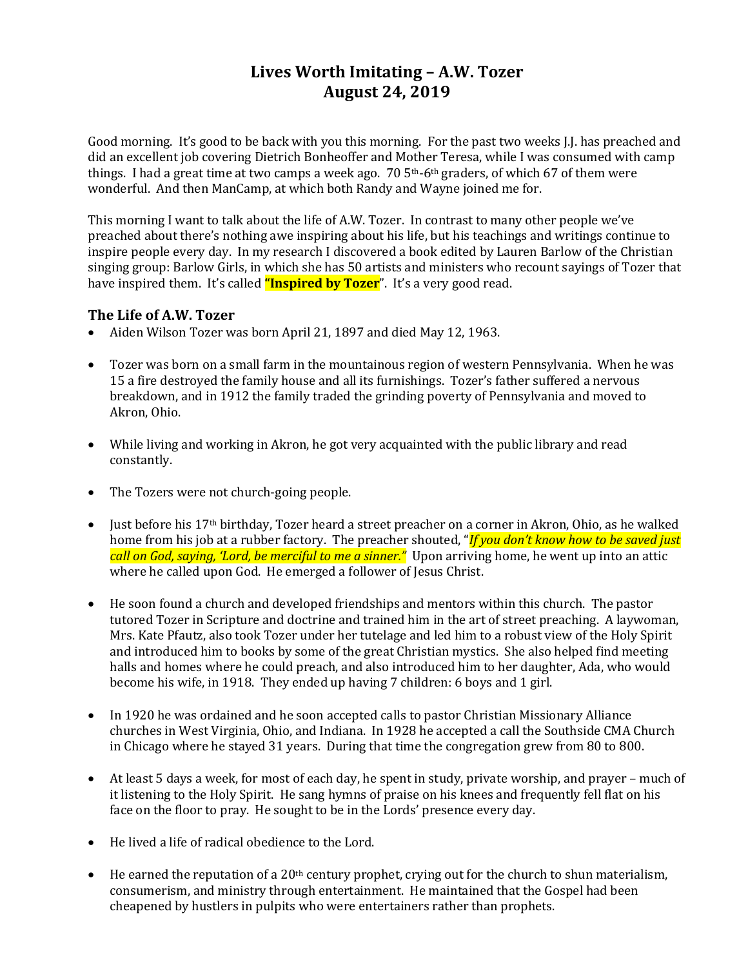## **Lives Worth Imitating – A.W. Tozer August 24, 2019**

Good morning. It's good to be back with you this morning. For the past two weeks J.J. has preached and did an excellent job covering Dietrich Bonheoffer and Mother Teresa, while I was consumed with camp things. I had a great time at two camps a week ago.  $70\frac{5}{th}$ -6th graders, of which 67 of them were wonderful. And then ManCamp, at which both Randy and Wayne joined me for.

This morning I want to talk about the life of A.W. Tozer. In contrast to many other people we've preached about there's nothing awe inspiring about his life, but his teachings and writings continue to inspire people every day. In my research I discovered a book edited by Lauren Barlow of the Christian singing group: Barlow Girls, in which she has 50 artists and ministers who recount sayings of Tozer that have inspired them. It's called **"Inspired by Tozer**". It's a very good read.

### **The Life of A.W. Tozer**

- Aiden Wilson Tozer was born April 21, 1897 and died May 12, 1963.
- Tozer was born on a small farm in the mountainous region of western Pennsylvania. When he was 15 a fire destroyed the family house and all its furnishings. Tozer's father suffered a nervous breakdown, and in 1912 the family traded the grinding poverty of Pennsylvania and moved to Akron, Ohio.
- While living and working in Akron, he got very acquainted with the public library and read constantly.
- The Tozers were not church-going people.
- Just before his 17th birthday, Tozer heard a street preacher on a corner in Akron, Ohio, as he walked home from his job at a rubber factory. The preacher shouted, "*If you don't know how to be saved just call on God, saying, 'Lord, be merciful to me a sinner."* Upon arriving home, he went up into an attic where he called upon God. He emerged a follower of Jesus Christ.
- He soon found a church and developed friendships and mentors within this church. The pastor tutored Tozer in Scripture and doctrine and trained him in the art of street preaching. A laywoman, Mrs. Kate Pfautz, also took Tozer under her tutelage and led him to a robust view of the Holy Spirit and introduced him to books by some of the great Christian mystics. She also helped find meeting halls and homes where he could preach, and also introduced him to her daughter, Ada, who would become his wife, in 1918. They ended up having 7 children: 6 boys and 1 girl.
- In 1920 he was ordained and he soon accepted calls to pastor Christian Missionary Alliance churches in West Virginia, Ohio, and Indiana. In 1928 he accepted a call the Southside CMA Church in Chicago where he stayed 31 years. During that time the congregation grew from 80 to 800.
- At least 5 days a week, for most of each day, he spent in study, private worship, and prayer much of it listening to the Holy Spirit. He sang hymns of praise on his knees and frequently fell flat on his face on the floor to pray. He sought to be in the Lords' presence every day.
- He lived a life of radical obedience to the Lord.
- He earned the reputation of a 20<sup>th</sup> century prophet, crying out for the church to shun materialism, consumerism, and ministry through entertainment. He maintained that the Gospel had been cheapened by hustlers in pulpits who were entertainers rather than prophets.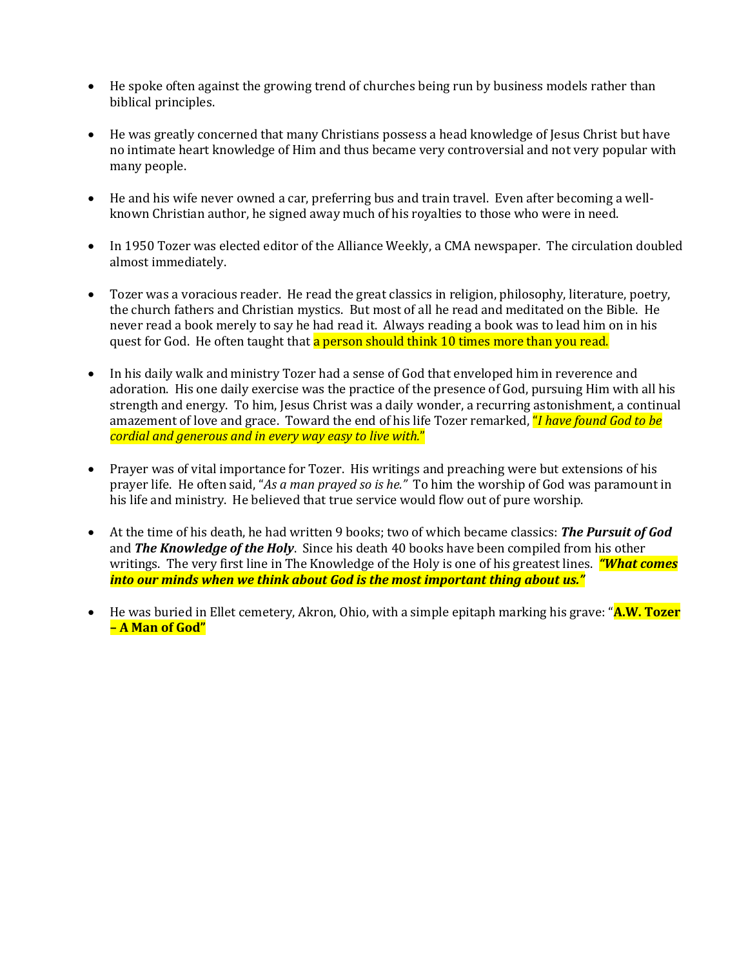- He spoke often against the growing trend of churches being run by business models rather than biblical principles.
- He was greatly concerned that many Christians possess a head knowledge of Jesus Christ but have no intimate heart knowledge of Him and thus became very controversial and not very popular with many people.
- He and his wife never owned a car, preferring bus and train travel. Even after becoming a wellknown Christian author, he signed away much of his royalties to those who were in need.
- In 1950 Tozer was elected editor of the Alliance Weekly, a CMA newspaper. The circulation doubled almost immediately.
- Tozer was a voracious reader. He read the great classics in religion, philosophy, literature, poetry, the church fathers and Christian mystics. But most of all he read and meditated on the Bible. He never read a book merely to say he had read it. Always reading a book was to lead him on in his quest for God. He often taught that a person should think 10 times more than you read.
- In his daily walk and ministry Tozer had a sense of God that enveloped him in reverence and adoration. His one daily exercise was the practice of the presence of God, pursuing Him with all his strength and energy. To him, Jesus Christ was a daily wonder, a recurring astonishment, a continual amazement of love and grace. Toward the end of his life Tozer remarked, "*I have found God to be cordial and generous and in every way easy to live with.*"
- Prayer was of vital importance for Tozer. His writings and preaching were but extensions of his prayer life. He often said, "*As a man prayed so is he."* To him the worship of God was paramount in his life and ministry. He believed that true service would flow out of pure worship.
- At the time of his death, he had written 9 books; two of which became classics: *The Pursuit of God* and *The Knowledge of the Holy*. Since his death 40 books have been compiled from his other writings. The very first line in The Knowledge of the Holy is one of his greatest lines. *"What comes into our minds when we think about God is the most important thing about us."*
- He was buried in Ellet cemetery, Akron, Ohio, with a simple epitaph marking his grave: "**A.W. Tozer – A Man of God"**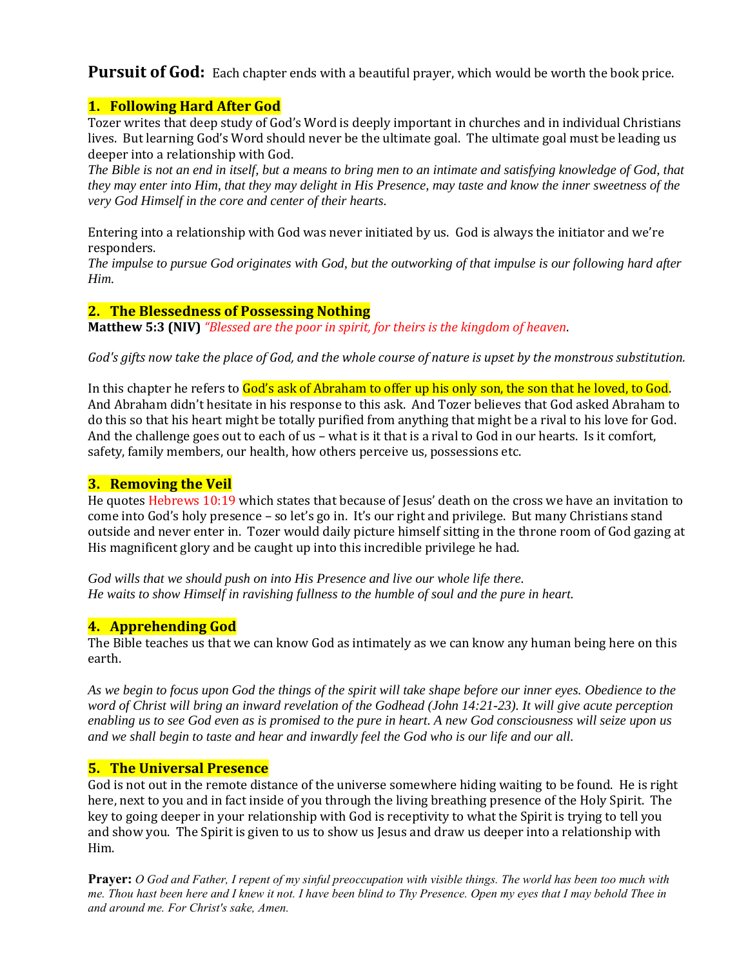Pursuit of God: Each chapter ends with a beautiful prayer, which would be worth the book price.

### **1. Following Hard After God**

Tozer writes that deep study of God's Word is deeply important in churches and in individual Christians lives. But learning God's Word should never be the ultimate goal. The ultimate goal must be leading us deeper into a relationship with God.

*The Bible is not an end in itself, but a means to bring men to an intimate and satisfying knowledge of God, that they may enter into Him, that they may delight in His Presence, may taste and know the inner sweetness of the very God Himself in the core and center of their hearts.* 

Entering into a relationship with God was never initiated by us. God is always the initiator and we're responders.

*The impulse to pursue God originates with God, but the outworking of that impulse is our following hard after Him.*

### **2. The Blessedness of Possessing Nothing**

**Matthew 5:3 (NIV)** *"Blessed are the poor in spirit, for theirs is the kingdom of heaven*.

*God's gifts now take the place of God, and the whole course of nature is upset by the monstrous substitution.* 

In this chapter he refers to God's ask of Abraham to offer up his only son, the son that he loved, to God. And Abraham didn't hesitate in his response to this ask. And Tozer believes that God asked Abraham to do this so that his heart might be totally purified from anything that might be a rival to his love for God. And the challenge goes out to each of us – what is it that is a rival to God in our hearts. Is it comfort, safety, family members, our health, how others perceive us, possessions etc.

#### **3. Removing the Veil**

He quotes Hebrews 10:19 which states that because of Jesus' death on the cross we have an invitation to come into God's holy presence – so let's go in. It's our right and privilege. But many Christians stand outside and never enter in. Tozer would daily picture himself sitting in the throne room of God gazing at His magnificent glory and be caught up into this incredible privilege he had.

*God wills that we should push on into His Presence and live our whole life there. He waits to show Himself in ravishing fullness to the humble of soul and the pure in heart.* 

## **4. Apprehending God**

The Bible teaches us that we can know God as intimately as we can know any human being here on this earth.

*As we begin to focus upon God the things of the spirit will take shape before our inner eyes. Obedience to the word of Christ will bring an inward revelation of the Godhead (John 14:21-23). It will give acute perception enabling us to see God even as is promised to the pure in heart. A new God consciousness will seize upon us and we shall begin to taste and hear and inwardly feel the God who is our life and our all.* 

#### **5. The Universal Presence**

God is not out in the remote distance of the universe somewhere hiding waiting to be found. He is right here, next to you and in fact inside of you through the living breathing presence of the Holy Spirit. The key to going deeper in your relationship with God is receptivity to what the Spirit is trying to tell you and show you. The Spirit is given to us to show us Jesus and draw us deeper into a relationship with Him.

**Prayer:** *O God and Father, I repent of my sinful preoccupation with visible things. The world has been too much with me. Thou hast been here and I knew it not. I have been blind to Thy Presence. Open my eyes that I may behold Thee in and around me. For Christ's sake, Amen.*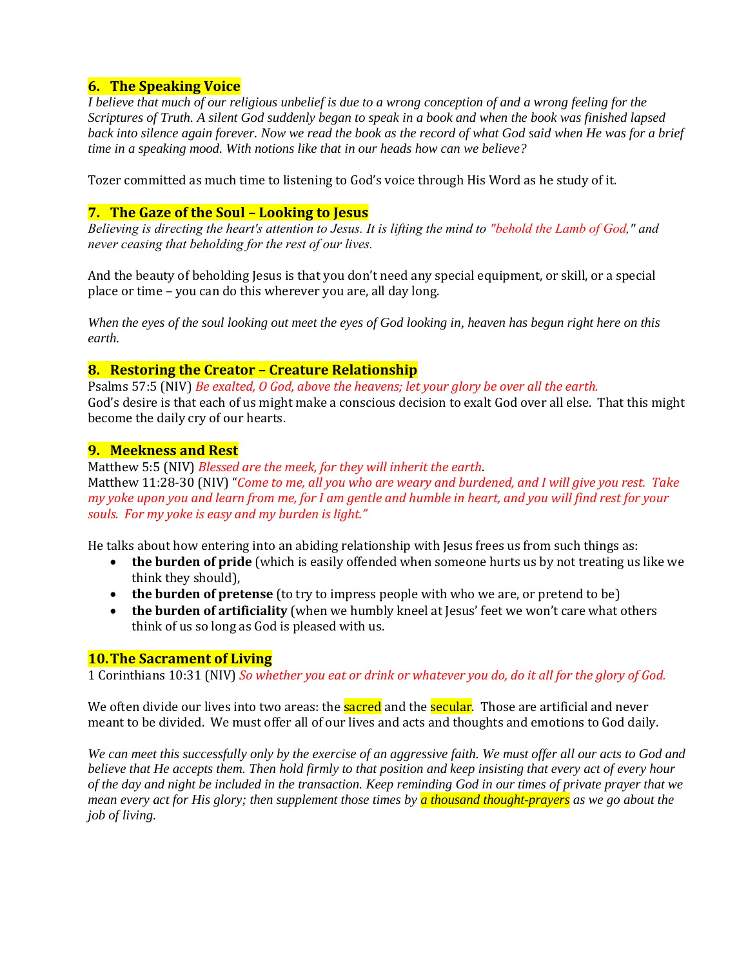## **6. The Speaking Voice**

*I believe that much of our religious unbelief is due to a wrong conception of and a wrong feeling for the Scriptures of Truth. A silent God suddenly began to speak in a book and when the book was finished lapsed back into silence again forever. Now we read the book as the record of what God said when He was for a brief time in a speaking mood. With notions like that in our heads how can we believe?*

Tozer committed as much time to listening to God's voice through His Word as he study of it.

#### **7. The Gaze of the Soul – Looking to Jesus**

*Believing is directing the heart's attention to Jesus. It is lifting the mind to "behold the Lamb of God," and never ceasing that beholding for the rest of our lives.* 

And the beauty of beholding Jesus is that you don't need any special equipment, or skill, or a special place or time – you can do this wherever you are, all day long.

*When the eyes of the soul looking out meet the eyes of God looking in, heaven has begun right here on this earth.*

#### **8. Restoring the Creator – Creature Relationship**

Psalms 57:5 (NIV) *Be exalted, O God, above the heavens; let your glory be over all the earth.* God's desire is that each of us might make a conscious decision to exalt God over all else. That this might become the daily cry of our hearts.

#### **9. Meekness and Rest**

Matthew 5:5 (NIV) *Blessed are the meek, for they will inherit the earth*. Matthew 11:28-30 (NIV) "*Come to me, all you who are weary and burdened, and I will give you rest. Take my yoke upon you and learn from me, for I am gentle and humble in heart, and you will find rest for your souls. For my yoke is easy and my burden is light."*

He talks about how entering into an abiding relationship with Jesus frees us from such things as:

- **the burden of pride** (which is easily offended when someone hurts us by not treating us like we think they should),
- **the burden of pretense** (to try to impress people with who we are, or pretend to be)
- **the burden of artificiality** (when we humbly kneel at Jesus' feet we won't care what others think of us so long as God is pleased with us.

#### **10.The Sacrament of Living**

1 Corinthians 10:31 (NIV) *So whether you eat or drink or whatever you do, do it all for the glory of God.*

We often divide our lives into two areas: the **sacred** and the **secular**. Those are artificial and never meant to be divided. We must offer all of our lives and acts and thoughts and emotions to God daily.

*We can meet this successfully only by the exercise of an aggressive faith. We must offer all our acts to God and believe that He accepts them. Then hold firmly to that position and keep insisting that every act of every hour of the day and night be included in the transaction. Keep reminding God in our times of private prayer that we mean every act for His glory; then supplement those times by a thousand thought-prayers as we go about the job of living.*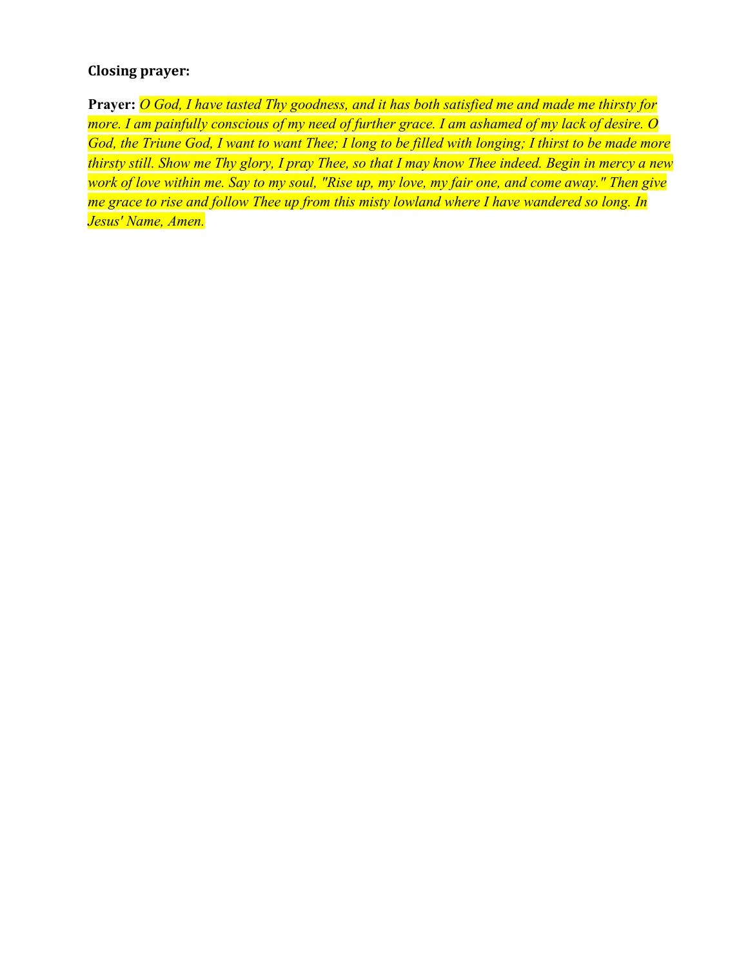## **Closing prayer:**

**Prayer:** *O God, I have tasted Thy goodness, and it has both satisfied me and made me thirsty for more. I am painfully conscious of my need of further grace. I am ashamed of my lack of desire. O God, the Triune God, I want to want Thee; I long to be filled with longing; I thirst to be made more thirsty still. Show me Thy glory, I pray Thee, so that I may know Thee indeed. Begin in mercy a new work of love within me. Say to my soul, "Rise up, my love, my fair one, and come away." Then give me grace to rise and follow Thee up from this misty lowland where I have wandered so long. In Jesus' Name, Amen.*